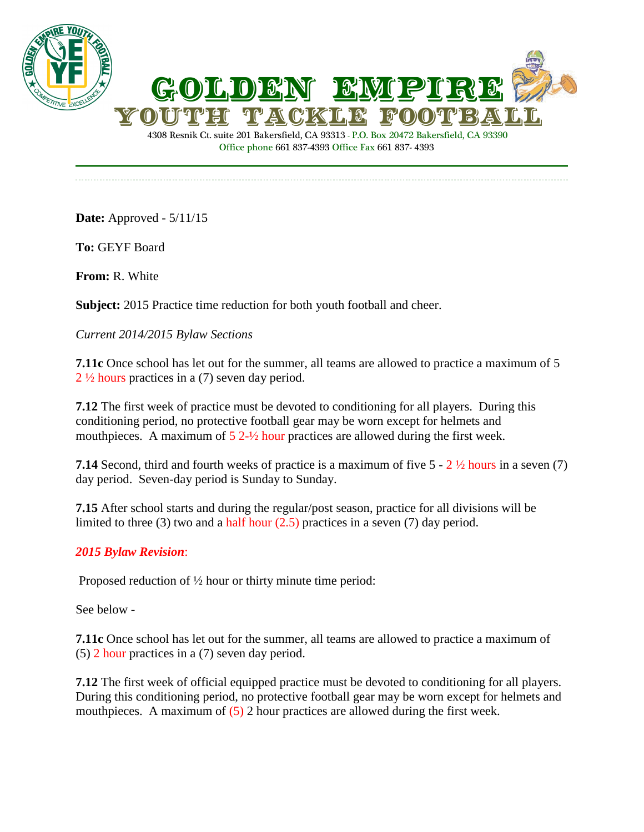



4308 Resnik Ct. suite 201 Bakersfield, CA 93313 - P.O. Box 20472 Bakersfield, CA 93390 Office phone 661 837-4393 Office Fax 661 837- 4393

**Date:** Approved - 5/11/15

**To:** GEYF Board

**From:** R. White

**Subject:** 2015 Practice time reduction for both youth football and cheer.

## *Current 2014/2015 Bylaw Sections*

**7.11c** Once school has let out for the summer, all teams are allowed to practice a maximum of 5 2 ½ hours practices in a (7) seven day period.

**7.12** The first week of practice must be devoted to conditioning for all players. During this conditioning period, no protective football gear may be worn except for helmets and mouthpieces. A maximum of  $5 \frac{2\frac{1}{2}}{\text{hour}$  practices are allowed during the first week.

**7.14** Second, third and fourth weeks of practice is a maximum of five 5 - 2 ½ hours in a seven (7) day period. Seven-day period is Sunday to Sunday.

**7.15** After school starts and during the regular/post season, practice for all divisions will be limited to three (3) two and a half hour (2.5) practices in a seven (7) day period.

## *2015 Bylaw Revision*:

Proposed reduction of ½ hour or thirty minute time period:

See below -

**7.11c** Once school has let out for the summer, all teams are allowed to practice a maximum of (5) 2 hour practices in a (7) seven day period.

**7.12** The first week of official equipped practice must be devoted to conditioning for all players. During this conditioning period, no protective football gear may be worn except for helmets and mouthpieces. A maximum of (5) 2 hour practices are allowed during the first week.